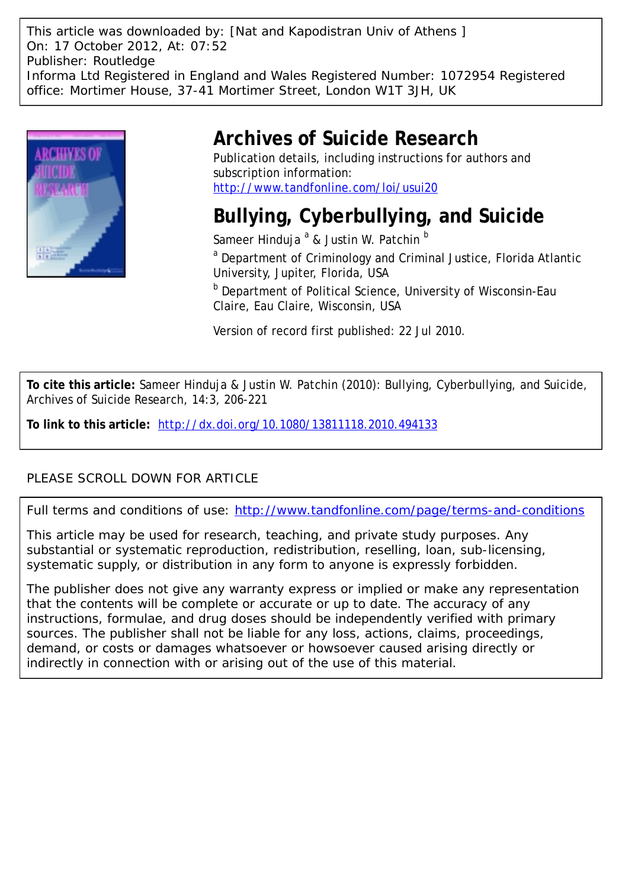This article was downloaded by: [Nat and Kapodistran Univ of Athens ] On: 17 October 2012, At: 07:52 Publisher: Routledge Informa Ltd Registered in England and Wales Registered Number: 1072954 Registered office: Mortimer House, 37-41 Mortimer Street, London W1T 3JH, UK



# **Archives of Suicide Research**

Publication details, including instructions for authors and subscription information: <http://www.tandfonline.com/loi/usui20>

# **Bullying, Cyberbullying, and Suicide**

Sameer Hinduja <sup>a</sup> & Justin W. Patchin <sup>b</sup>

<sup>a</sup> Department of Criminology and Criminal Justice, Florida Atlantic University, Jupiter, Florida, USA

**b** Department of Political Science, University of Wisconsin-Eau Claire, Eau Claire, Wisconsin, USA

Version of record first published: 22 Jul 2010.

**To cite this article:** Sameer Hinduja & Justin W. Patchin (2010): Bullying, Cyberbullying, and Suicide, Archives of Suicide Research, 14:3, 206-221

**To link to this article:** <http://dx.doi.org/10.1080/13811118.2010.494133>

# PLEASE SCROLL DOWN FOR ARTICLE

Full terms and conditions of use:<http://www.tandfonline.com/page/terms-and-conditions>

This article may be used for research, teaching, and private study purposes. Any substantial or systematic reproduction, redistribution, reselling, loan, sub-licensing, systematic supply, or distribution in any form to anyone is expressly forbidden.

The publisher does not give any warranty express or implied or make any representation that the contents will be complete or accurate or up to date. The accuracy of any instructions, formulae, and drug doses should be independently verified with primary sources. The publisher shall not be liable for any loss, actions, claims, proceedings, demand, or costs or damages whatsoever or howsoever caused arising directly or indirectly in connection with or arising out of the use of this material.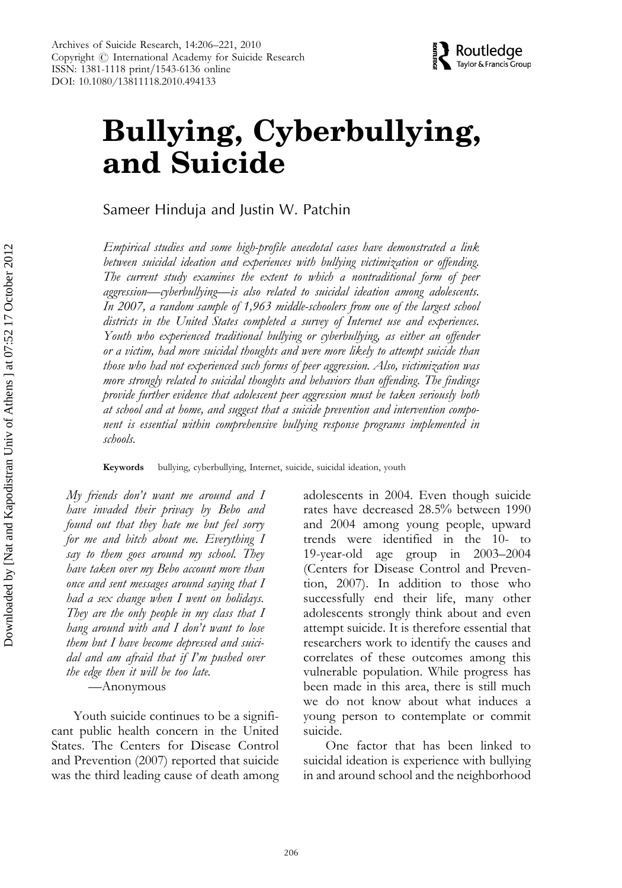

# Bullying, Cyberbullying, and Suicide

Sameer Hinduja and Justin W. Patchin

Empirical studies and some high-profile anecdotal cases have demonstrated a link between suicidal ideation and experiences with bullying victimization or offending. The current study examines the extent to which a nontraditional form of peer aggression—cyberbullying—is also related to suicidal ideation among adolescents. In 2007, a random sample of 1,963 middle-schoolers from one of the largest school districts in the United States completed a survey of Internet use and experiences. Youth who experienced traditional bullying or cyberbullying, as either an offender or a victim, had more suicidal thoughts and were more likely to attempt suicide than those who had not experienced such forms of peer aggression. Also, victimization was more strongly related to suicidal thoughts and behaviors than offending. The findings provide further evidence that adolescent peer aggression must be taken seriously both at school and at home, and suggest that a suicide prevention and intervention component is essential within comprehensive bullying response programs implemented in schools.

Keywords bullying, cyberbullying, Internet, suicide, suicidal ideation, youth

My friends don't want me around and I have invaded their privacy by Bebo and found out that they hate me but feel sorry for me and bitch about me. Everything I say to them goes around my school. They have taken over my Bebo account more than once and sent messages around saying that I had a sex change when I went on holidays. They are the only people in my class that I hang around with and I don't want to lose them but I have become depressed and suicidal and am afraid that if I'm pushed over the edge then it will be too late.

—Anonymous

Youth suicide continues to be a significant public health concern in the United States. The Centers for Disease Control and Prevention (2007) reported that suicide was the third leading cause of death among adolescents in 2004. Even though suicide rates have decreased 28.5% between 1990 and 2004 among young people, upward trends were identified in the 10- to 19-year-old age group in 2003–2004 (Centers for Disease Control and Prevention, 2007). In addition to those who successfully end their life, many other adolescents strongly think about and even attempt suicide. It is therefore essential that researchers work to identify the causes and correlates of these outcomes among this vulnerable population. While progress has been made in this area, there is still much we do not know about what induces a young person to contemplate or commit suicide.

One factor that has been linked to suicidal ideation is experience with bullying in and around school and the neighborhood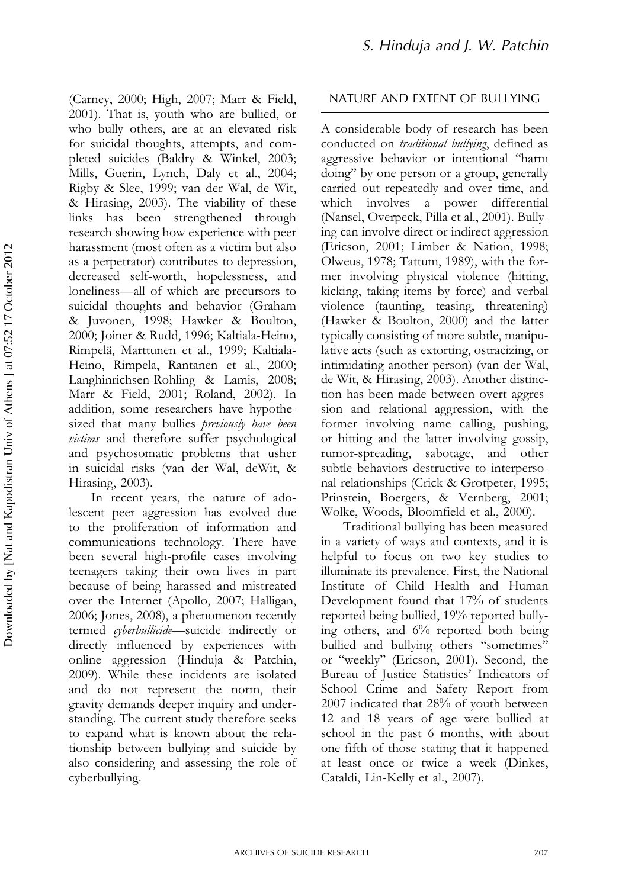(Carney, 2000; High, 2007; Marr & Field, 2001). That is, youth who are bullied, or who bully others, are at an elevated risk for suicidal thoughts, attempts, and completed suicides (Baldry & Winkel, 2003; Mills, Guerin, Lynch, Daly et al., 2004; Rigby & Slee, 1999; van der Wal, de Wit, & Hirasing, 2003). The viability of these links has been strengthened through research showing how experience with peer harassment (most often as a victim but also as a perpetrator) contributes to depression, decreased self-worth, hopelessness, and loneliness—all of which are precursors to suicidal thoughts and behavior (Graham & Juvonen, 1998; Hawker & Boulton, 2000; Joiner & Rudd, 1996; Kaltiala-Heino, Rimpelä, Marttunen et al., 1999; Kaltiala-Heino, Rimpela, Rantanen et al., 2000; Langhinrichsen-Rohling & Lamis, 2008; Marr & Field, 2001; Roland, 2002). In addition, some researchers have hypothesized that many bullies *previously have been victims* and therefore suffer psychological and psychosomatic problems that usher in suicidal risks (van der Wal, deWit, & Hirasing, 2003).

In recent years, the nature of adolescent peer aggression has evolved due to the proliferation of information and communications technology. There have been several high-profile cases involving teenagers taking their own lives in part because of being harassed and mistreated over the Internet (Apollo, 2007; Halligan, 2006; Jones, 2008), a phenomenon recently termed cyberbullicide—suicide indirectly or directly influenced by experiences with online aggression (Hinduja & Patchin, 2009). While these incidents are isolated and do not represent the norm, their gravity demands deeper inquiry and understanding. The current study therefore seeks to expand what is known about the relationship between bullying and suicide by also considering and assessing the role of cyberbullying.

# NATURE AND EXTENT OF BULLYING

A considerable body of research has been conducted on *traditional bullying*, defined as aggressive behavior or intentional ''harm doing'' by one person or a group, generally carried out repeatedly and over time, and which involves a power differential (Nansel, Overpeck, Pilla et al., 2001). Bullying can involve direct or indirect aggression (Ericson, 2001; Limber & Nation, 1998; Olweus, 1978; Tattum, 1989), with the former involving physical violence (hitting, kicking, taking items by force) and verbal violence (taunting, teasing, threatening) (Hawker & Boulton, 2000) and the latter typically consisting of more subtle, manipulative acts (such as extorting, ostracizing, or intimidating another person) (van der Wal, de Wit, & Hirasing, 2003). Another distinction has been made between overt aggression and relational aggression, with the former involving name calling, pushing, or hitting and the latter involving gossip, rumor-spreading, sabotage, and other subtle behaviors destructive to interpersonal relationships (Crick & Grotpeter, 1995; Prinstein, Boergers, & Vernberg, 2001; Wolke, Woods, Bloomfield et al., 2000).

Traditional bullying has been measured in a variety of ways and contexts, and it is helpful to focus on two key studies to illuminate its prevalence. First, the National Institute of Child Health and Human Development found that 17% of students reported being bullied, 19% reported bullying others, and 6% reported both being bullied and bullying others ''sometimes'' or ''weekly'' (Ericson, 2001). Second, the Bureau of Justice Statistics' Indicators of School Crime and Safety Report from 2007 indicated that 28% of youth between 12 and 18 years of age were bullied at school in the past 6 months, with about one-fifth of those stating that it happened at least once or twice a week (Dinkes, Cataldi, Lin-Kelly et al., 2007).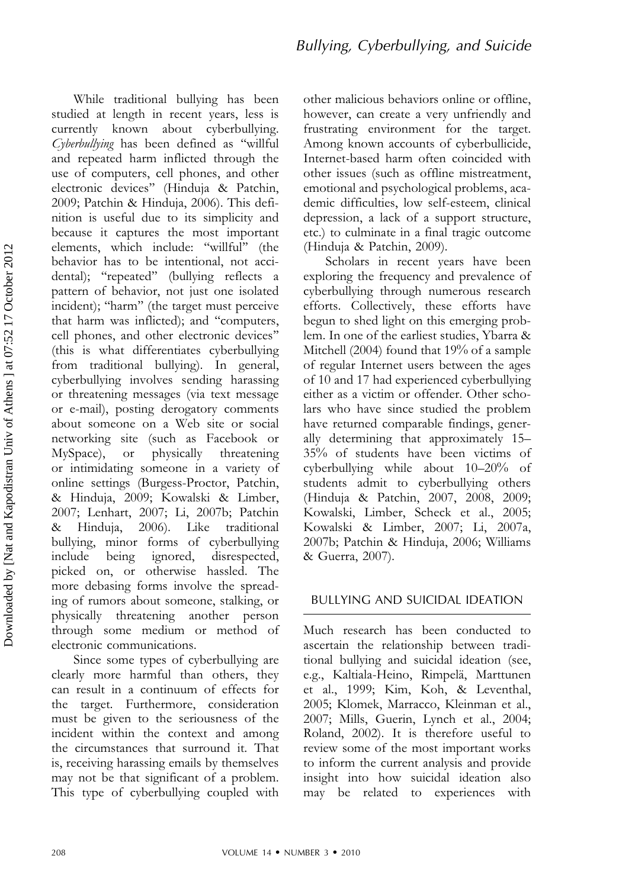Downloaded by [Nat and Kapodistran Univ of Athens ] at 07:52 17 October 2012 Downloaded by [Nat and Kapodistran Univ of Athens ] at 07:52 17 October 2012

While traditional bullying has been studied at length in recent years, less is currently known about cyberbullying. Cyberbullying has been defined as ''willful and repeated harm inflicted through the use of computers, cell phones, and other electronic devices'' (Hinduja & Patchin, 2009; Patchin & Hinduja, 2006). This definition is useful due to its simplicity and because it captures the most important elements, which include: ''willful'' (the behavior has to be intentional, not accidental); "repeated" (bullying reflects a pattern of behavior, not just one isolated incident); "harm" (the target must perceive that harm was inflicted); and ''computers, cell phones, and other electronic devices'' (this is what differentiates cyberbullying from traditional bullying). In general, cyberbullying involves sending harassing or threatening messages (via text message or e-mail), posting derogatory comments about someone on a Web site or social networking site (such as Facebook or MySpace), or physically threatening or intimidating someone in a variety of online settings (Burgess-Proctor, Patchin, & Hinduja, 2009; Kowalski & Limber, 2007; Lenhart, 2007; Li, 2007b; Patchin & Hinduja, 2006). Like traditional bullying, minor forms of cyberbullying include being ignored, disrespected, picked on, or otherwise hassled. The more debasing forms involve the spreading of rumors about someone, stalking, or physically threatening another person through some medium or method of electronic communications.

Since some types of cyberbullying are clearly more harmful than others, they can result in a continuum of effects for the target. Furthermore, consideration must be given to the seriousness of the incident within the context and among the circumstances that surround it. That is, receiving harassing emails by themselves may not be that significant of a problem. This type of cyberbullying coupled with

other malicious behaviors online or offline, however, can create a very unfriendly and frustrating environment for the target. Among known accounts of cyberbullicide, Internet-based harm often coincided with other issues (such as offline mistreatment, emotional and psychological problems, academic difficulties, low self-esteem, clinical depression, a lack of a support structure, etc.) to culminate in a final tragic outcome (Hinduja & Patchin, 2009).

Scholars in recent years have been exploring the frequency and prevalence of cyberbullying through numerous research efforts. Collectively, these efforts have begun to shed light on this emerging problem. In one of the earliest studies, Ybarra & Mitchell (2004) found that 19% of a sample of regular Internet users between the ages of 10 and 17 had experienced cyberbullying either as a victim or offender. Other scholars who have since studied the problem have returned comparable findings, generally determining that approximately 15– 35% of students have been victims of cyberbullying while about 10–20% of students admit to cyberbullying others (Hinduja & Patchin, 2007, 2008, 2009; Kowalski, Limber, Scheck et al., 2005; Kowalski & Limber, 2007; Li, 2007a, 2007b; Patchin & Hinduja, 2006; Williams & Guerra, 2007).

## BULLYING AND SUICIDAL IDEATION

Much research has been conducted to ascertain the relationship between traditional bullying and suicidal ideation (see, e.g., Kaltiala-Heino, Rimpelä, Marttunen et al., 1999; Kim, Koh, & Leventhal, 2005; Klomek, Marracco, Kleinman et al., 2007; Mills, Guerin, Lynch et al., 2004; Roland, 2002). It is therefore useful to review some of the most important works to inform the current analysis and provide insight into how suicidal ideation also may be related to experiences with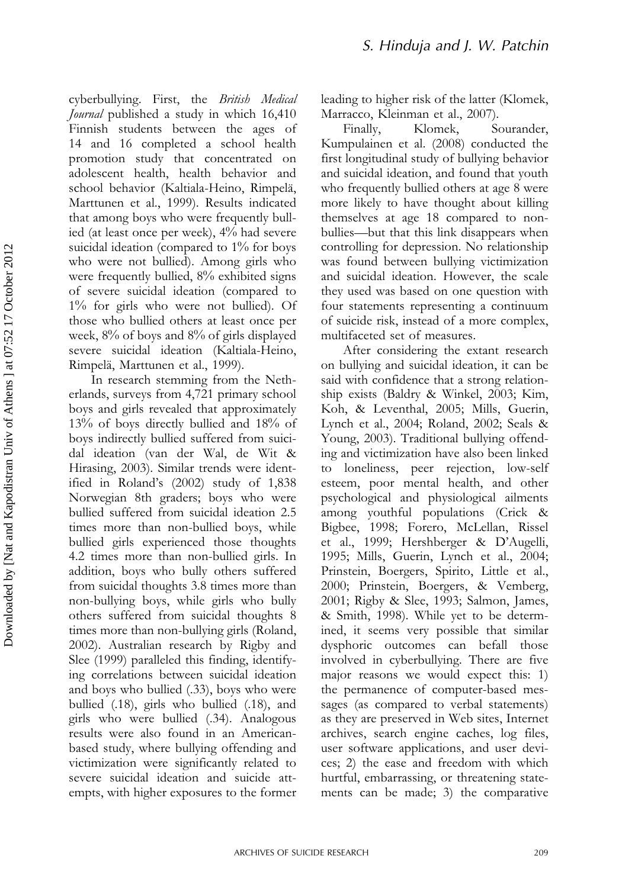cyberbullying. First, the *British Medical* Journal published a study in which 16,410 Finnish students between the ages of 14 and 16 completed a school health promotion study that concentrated on adolescent health, health behavior and school behavior (Kaltiala-Heino, Rimpelä, Marttunen et al., 1999). Results indicated that among boys who were frequently bullied (at least once per week), 4% had severe suicidal ideation (compared to 1% for boys who were not bullied). Among girls who were frequently bullied, 8% exhibited signs of severe suicidal ideation (compared to 1% for girls who were not bullied). Of those who bullied others at least once per week, 8% of boys and 8% of girls displayed severe suicidal ideation (Kaltiala-Heino, Rimpelä, Marttunen et al., 1999).

In research stemming from the Netherlands, surveys from 4,721 primary school boys and girls revealed that approximately 13% of boys directly bullied and 18% of boys indirectly bullied suffered from suicidal ideation (van der Wal, de Wit & Hirasing, 2003). Similar trends were identified in Roland's (2002) study of 1,838 Norwegian 8th graders; boys who were bullied suffered from suicidal ideation 2.5 times more than non-bullied boys, while bullied girls experienced those thoughts 4.2 times more than non-bullied girls. In addition, boys who bully others suffered from suicidal thoughts 3.8 times more than non-bullying boys, while girls who bully others suffered from suicidal thoughts 8 times more than non-bullying girls (Roland, 2002). Australian research by Rigby and Slee (1999) paralleled this finding, identifying correlations between suicidal ideation and boys who bullied (.33), boys who were bullied (.18), girls who bullied (.18), and girls who were bullied (.34). Analogous results were also found in an Americanbased study, where bullying offending and victimization were significantly related to severe suicidal ideation and suicide attempts, with higher exposures to the former leading to higher risk of the latter (Klomek, Marracco, Kleinman et al., 2007).

Finally, Klomek, Sourander, Kumpulainen et al. (2008) conducted the first longitudinal study of bullying behavior and suicidal ideation, and found that youth who frequently bullied others at age 8 were more likely to have thought about killing themselves at age 18 compared to nonbullies—but that this link disappears when controlling for depression. No relationship was found between bullying victimization and suicidal ideation. However, the scale they used was based on one question with four statements representing a continuum of suicide risk, instead of a more complex, multifaceted set of measures.

After considering the extant research on bullying and suicidal ideation, it can be said with confidence that a strong relationship exists (Baldry & Winkel, 2003; Kim, Koh, & Leventhal, 2005; Mills, Guerin, Lynch et al., 2004; Roland, 2002; Seals & Young, 2003). Traditional bullying offending and victimization have also been linked to loneliness, peer rejection, low-self esteem, poor mental health, and other psychological and physiological ailments among youthful populations (Crick & Bigbee, 1998; Forero, McLellan, Rissel et al., 1999; Hershberger & D'Augelli, 1995; Mills, Guerin, Lynch et al., 2004; Prinstein, Boergers, Spirito, Little et al., 2000; Prinstein, Boergers, & Vemberg, 2001; Rigby & Slee, 1993; Salmon, James, & Smith, 1998). While yet to be determined, it seems very possible that similar dysphoric outcomes can befall those involved in cyberbullying. There are five major reasons we would expect this: 1) the permanence of computer-based messages (as compared to verbal statements) as they are preserved in Web sites, Internet archives, search engine caches, log files, user software applications, and user devices; 2) the ease and freedom with which hurtful, embarrassing, or threatening statements can be made; 3) the comparative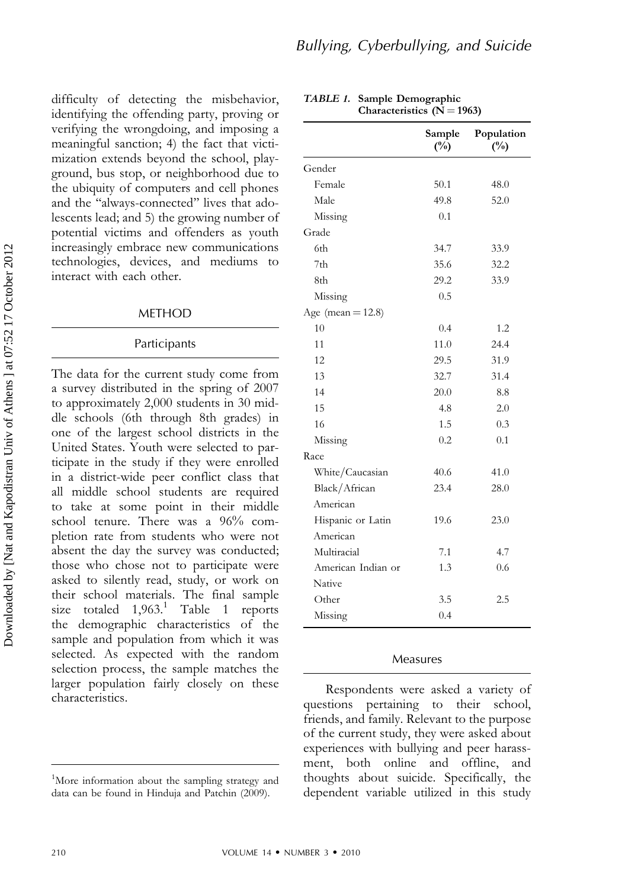difficulty of detecting the misbehavior, identifying the offending party, proving or verifying the wrongdoing, and imposing a meaningful sanction; 4) the fact that victimization extends beyond the school, playground, bus stop, or neighborhood due to the ubiquity of computers and cell phones and the ''always-connected'' lives that adolescents lead; and 5) the growing number of potential victims and offenders as youth increasingly embrace new communications technologies, devices, and mediums to interact with each other.

#### METHOD

#### Participants

The data for the current study come from a survey distributed in the spring of 2007 to approximately 2,000 students in 30 middle schools (6th through 8th grades) in one of the largest school districts in the United States. Youth were selected to participate in the study if they were enrolled in a district-wide peer conflict class that all middle school students are required to take at some point in their middle school tenure. There was a 96% completion rate from students who were not absent the day the survey was conducted; those who chose not to participate were asked to silently read, study, or work on their school materials. The final sample size totaled  $1,963$ .<sup>1</sup> Table 1 reports the demographic characteristics of the sample and population from which it was selected. As expected with the random selection process, the sample matches the larger population fairly closely on these characteristics.

|                      | Sample<br>$(\%)$ | Population<br>$(\%)$ |
|----------------------|------------------|----------------------|
| Gender               |                  |                      |
| Female               | 50.1             | 48.0                 |
| Male                 | 49.8             | 52.0                 |
| Missing              | 0.1              |                      |
| Grade                |                  |                      |
| 6th                  | 34.7             | 33.9                 |
| 7th                  | 35.6             | 32.2                 |
| 8th                  | 29.2             | 33.9                 |
| Missing              | 0.5              |                      |
| Age (mean = $12.8$ ) |                  |                      |
| 10                   | 0.4              | 1.2                  |
| 11                   | 11.0             | 24.4                 |
| 12                   | 29.5             | 31.9                 |
| 13                   | 32.7             | 31.4                 |
| 14                   | 20.0             | 8.8                  |
| 15                   | 4.8              | 2.0                  |
| 16                   | 1.5              | 0.3                  |
| Missing              | 0.2              | 0.1                  |
| Race                 |                  |                      |
| White/Caucasian      | 40.6             | 41.0                 |
| Black/African        | 23.4             | 28.0                 |
| American             |                  |                      |
| Hispanic or Latin    | 19.6             | 23.0                 |
| American             |                  |                      |
| Multiracial          | 7.1              | 4.7                  |
| American Indian or   | 1.3              | 0.6                  |
| Native               |                  |                      |
| Other                | 3.5              | 2.5                  |
| Missing              | 0.4              |                      |

### TABLE 1. Sample Demographic Characteristics  $(N = 1963)$

#### Measures

Respondents were asked a variety of questions pertaining to their school, friends, and family. Relevant to the purpose of the current study, they were asked about experiences with bullying and peer harassment, both online and offline, and thoughts about suicide. Specifically, the dependent variable utilized in this study

<sup>&</sup>lt;sup>1</sup>More information about the sampling strategy and data can be found in Hinduja and Patchin (2009).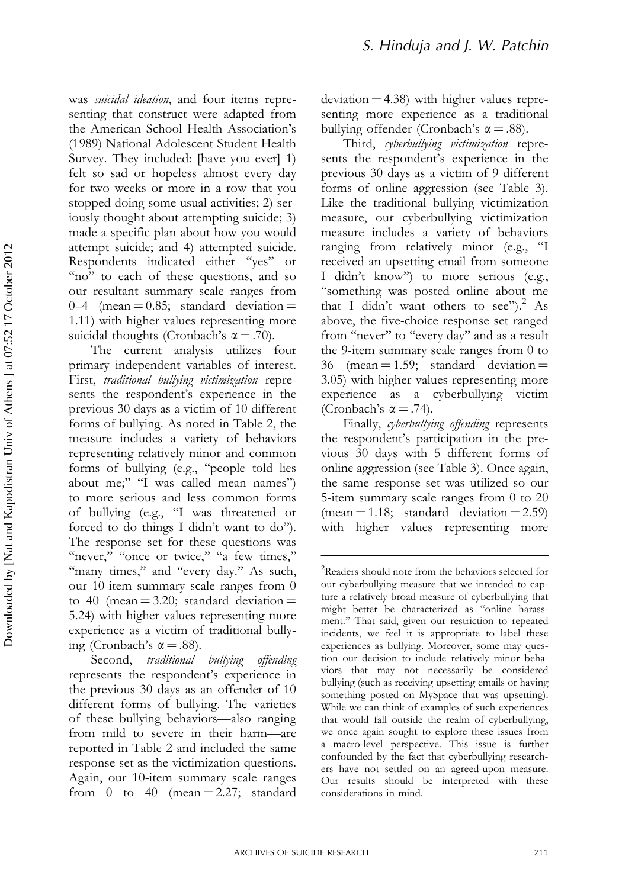was suicidal ideation, and four items representing that construct were adapted from the American School Health Association's (1989) National Adolescent Student Health Survey. They included: [have you ever] 1) felt so sad or hopeless almost every day for two weeks or more in a row that you stopped doing some usual activities; 2) seriously thought about attempting suicide; 3) made a specific plan about how you would attempt suicide; and 4) attempted suicide. Respondents indicated either ''yes'' or "no" to each of these questions, and so our resultant summary scale ranges from 0–4 (mean  $=$  0.85; standard deviation  $=$ 1.11) with higher values representing more suicidal thoughts (Cronbach's  $\alpha = .70$ ).

The current analysis utilizes four primary independent variables of interest. First, traditional bullying victimization represents the respondent's experience in the previous 30 days as a victim of 10 different forms of bullying. As noted in Table 2, the measure includes a variety of behaviors representing relatively minor and common forms of bullying (e.g., ''people told lies about me;" "I was called mean names") to more serious and less common forms of bullying (e.g., ''I was threatened or forced to do things I didn't want to do''). The response set for these questions was "never," "once or twice," "a few times," "many times," and "every day." As such, our 10-item summary scale ranges from 0 to 40 (mean  $=$  3.20; standard deviation  $=$ 5.24) with higher values representing more experience as a victim of traditional bullying (Cronbach's  $\alpha = .88$ ).

Second, *traditional bullying offending* represents the respondent's experience in the previous 30 days as an offender of 10 different forms of bullying. The varieties of these bullying behaviors—also ranging from mild to severe in their harm—are reported in Table 2 and included the same response set as the victimization questions. Again, our 10-item summary scale ranges from 0 to 40 (mean  $= 2.27$ ; standard

deviation  $=$  4.38) with higher values representing more experience as a traditional bullying offender (Cronbach's  $\alpha = .88$ ).

Third, cyberbullying victimization represents the respondent's experience in the previous 30 days as a victim of 9 different forms of online aggression (see Table 3). Like the traditional bullying victimization measure, our cyberbullying victimization measure includes a variety of behaviors ranging from relatively minor (e.g., ''I received an upsetting email from someone I didn't know'') to more serious (e.g., ''something was posted online about me that I didn't want others to see").<sup>2</sup> As above, the five-choice response set ranged from "never" to "every day" and as a result the 9-item summary scale ranges from 0 to 36 (mean  $= 1.59$ ; standard deviation  $=$ 3.05) with higher values representing more experience as a cyberbullying victim (Cronbach's  $\alpha = .74$ ).

Finally, cyberbullying offending represents the respondent's participation in the previous 30 days with 5 different forms of online aggression (see Table 3). Once again, the same response set was utilized so our 5-item summary scale ranges from 0 to 20  $(mean = 1.18; standard deviation = 2.59)$ with higher values representing more

<sup>&</sup>lt;sup>2</sup>Readers should note from the behaviors selected for our cyberbullying measure that we intended to capture a relatively broad measure of cyberbullying that might better be characterized as ''online harassment.'' That said, given our restriction to repeated incidents, we feel it is appropriate to label these experiences as bullying. Moreover, some may question our decision to include relatively minor behaviors that may not necessarily be considered bullying (such as receiving upsetting emails or having something posted on MySpace that was upsetting). While we can think of examples of such experiences that would fall outside the realm of cyberbullying, we once again sought to explore these issues from a macro-level perspective. This issue is further confounded by the fact that cyberbullying researchers have not settled on an agreed-upon measure. Our results should be interpreted with these considerations in mind.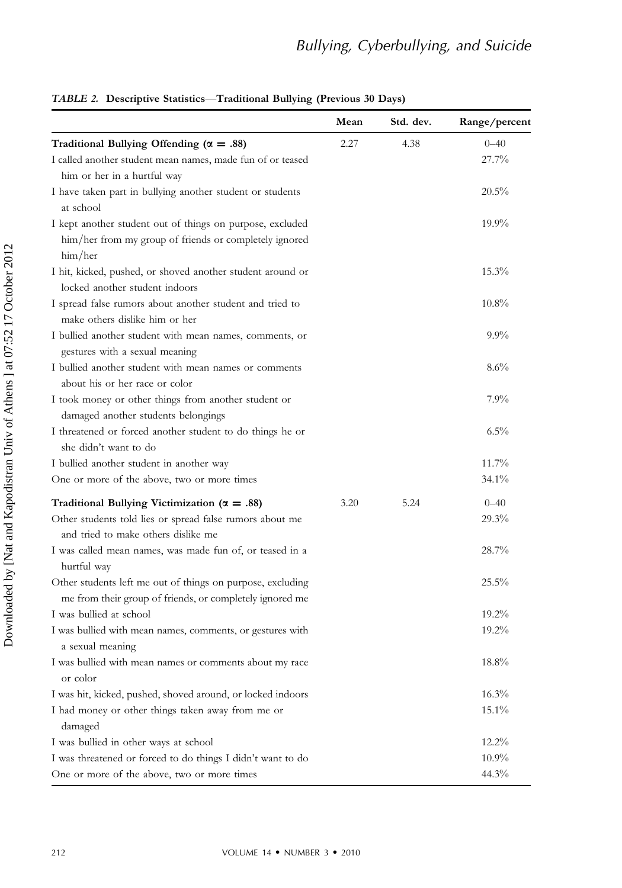|                                                                                                                                | Mean | Std. dev. | Range/percent |
|--------------------------------------------------------------------------------------------------------------------------------|------|-----------|---------------|
| Traditional Bullying Offending ( $\alpha = .88$ )                                                                              | 2.27 | 4.38      | $0 - 40$      |
| I called another student mean names, made fun of or teased                                                                     |      |           | $27.7\%$      |
| him or her in a hurtful way                                                                                                    |      |           |               |
| I have taken part in bullying another student or students<br>at school                                                         |      |           | $20.5\%$      |
| I kept another student out of things on purpose, excluded<br>him/her from my group of friends or completely ignored<br>him/her |      |           | 19.9%         |
| I hit, kicked, pushed, or shoved another student around or<br>locked another student indoors                                   |      |           | 15.3%         |
| I spread false rumors about another student and tried to<br>make others dislike him or her                                     |      |           | $10.8\%$      |
| I bullied another student with mean names, comments, or<br>gestures with a sexual meaning                                      |      |           | $9.9\%$       |
| I bullied another student with mean names or comments<br>about his or her race or color                                        |      |           | 8.6%          |
| I took money or other things from another student or<br>damaged another students belongings                                    |      |           | $7.9\%$       |
| I threatened or forced another student to do things he or<br>she didn't want to do                                             |      |           | 6.5%          |
| I bullied another student in another way                                                                                       |      |           | 11.7%         |
| One or more of the above, two or more times                                                                                    |      |           | 34.1%         |
| Traditional Bullying Victimization ( $\alpha = .88$ )                                                                          | 3.20 | 5.24      | $0 - 40$      |
| Other students told lies or spread false rumors about me<br>and tried to make others dislike me                                |      |           | 29.3%         |
| I was called mean names, was made fun of, or teased in a<br>hurtful way                                                        |      |           | 28.7%         |
| Other students left me out of things on purpose, excluding<br>me from their group of friends, or completely ignored me         |      |           | $25.5\%$      |
| I was bullied at school                                                                                                        |      |           | $19.2\%$      |
| I was bullied with mean names, comments, or gestures with<br>a sexual meaning                                                  |      |           | 19.2%         |
| I was bullied with mean names or comments about my race<br>or color                                                            |      |           | 18.8%         |
| I was hit, kicked, pushed, shoved around, or locked indoors                                                                    |      |           | 16.3%         |
| I had money or other things taken away from me or<br>damaged                                                                   |      |           | 15.1%         |
| I was bullied in other ways at school                                                                                          |      |           | $12.2\%$      |
| I was threatened or forced to do things I didn't want to do                                                                    |      |           | 10.9%         |
| One or more of the above, two or more times                                                                                    |      |           | 44.3%         |

## TABLE 2. Descriptive Statistics—Traditional Bullying (Previous 30 Days)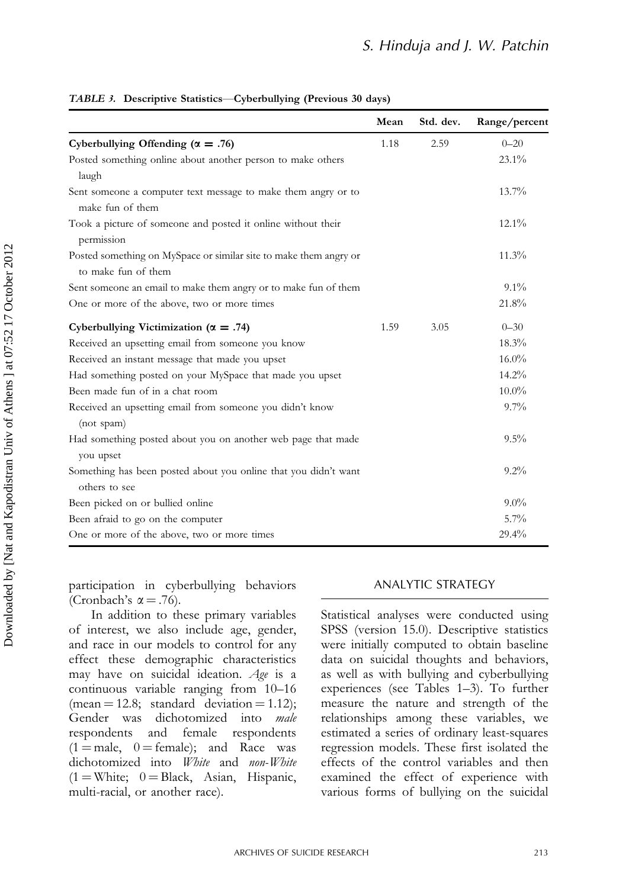|                                                                   | Mean | Std. dev. | Range/percent |
|-------------------------------------------------------------------|------|-----------|---------------|
| Cyberbullying Offending ( $\alpha = .76$ )                        | 1.18 | 2.59      | $0 - 20$      |
| Posted something online about another person to make others       |      |           | $23.1\%$      |
| laugh                                                             |      |           |               |
| Sent someone a computer text message to make them angry or to     |      |           | 13.7%         |
| make fun of them                                                  |      |           |               |
| Took a picture of someone and posted it online without their      |      |           | $12.1\%$      |
| permission                                                        |      |           |               |
| Posted something on MySpace or similar site to make them angry or |      |           | 11.3%         |
| to make fun of them                                               |      |           |               |
| Sent someone an email to make them angry or to make fun of them   |      |           | $9.1\%$       |
| One or more of the above, two or more times                       |      |           | 21.8%         |
| Cyberbullying Victimization ( $\alpha = .74$ )                    | 1.59 | 3.05      | $0 - 30$      |
| Received an upsetting email from someone you know                 |      |           | 18.3%         |
| Received an instant message that made you upset                   |      |           | $16.0\%$      |
| Had something posted on your MySpace that made you upset          |      |           | $14.2\%$      |
| Been made fun of in a chat room                                   |      |           | $10.0\%$      |
| Received an upsetting email from someone you didn't know          |      |           | $9.7\%$       |
| (not spam)                                                        |      |           |               |
| Had something posted about you on another web page that made      |      |           | $9.5\%$       |
| you upset                                                         |      |           |               |
| Something has been posted about you online that you didn't want   |      |           | $9.2\%$       |
| others to see                                                     |      |           |               |
| Been picked on or bullied online                                  |      |           | $9.0\%$       |
| Been afraid to go on the computer                                 |      |           | 5.7%          |
| One or more of the above, two or more times                       |      |           | 29.4%         |

#### TABLE 3. Descriptive Statistics—Cyberbullying (Previous 30 days)

participation in cyberbullying behaviors (Cronbach's  $\alpha = .76$ ).

In addition to these primary variables of interest, we also include age, gender, and race in our models to control for any effect these demographic characteristics may have on suicidal ideation. Age is a continuous variable ranging from 10–16  $(mean = 12.8; standard deviation = 1.12);$ Gender was dichotomized into male respondents and female respondents  $(1 = male, 0 = female);$  and Race was dichotomized into White and non-White  $(1 = \text{White}; \ \ 0 = \text{Black}, \ \ \text{Asian}, \ \ \text{Hispanic}, \ \ldots)$ multi-racial, or another race).

#### ANALYTIC STRATEGY

Statistical analyses were conducted using SPSS (version 15.0). Descriptive statistics were initially computed to obtain baseline data on suicidal thoughts and behaviors, as well as with bullying and cyberbullying experiences (see Tables 1–3). To further measure the nature and strength of the relationships among these variables, we estimated a series of ordinary least-squares regression models. These first isolated the effects of the control variables and then examined the effect of experience with various forms of bullying on the suicidal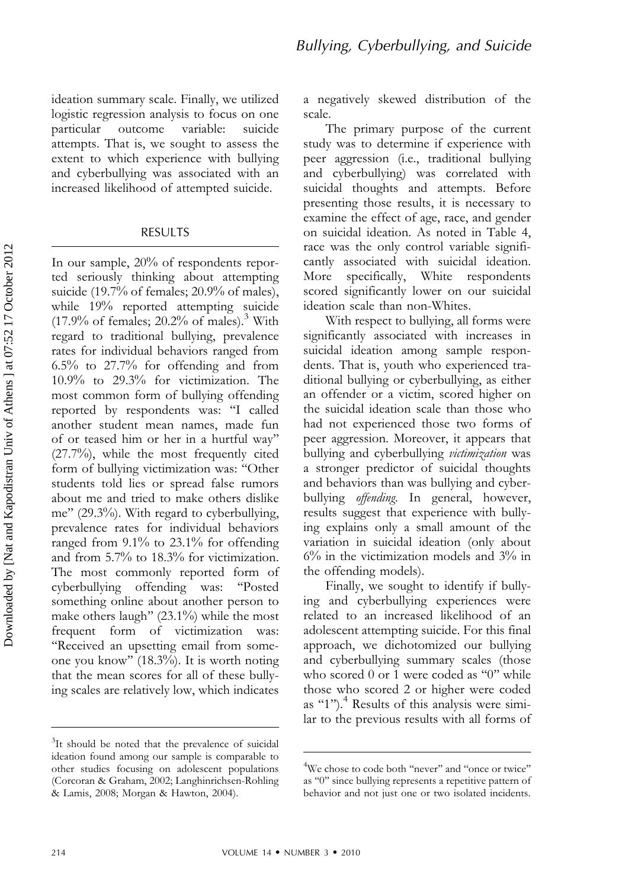ideation summary scale. Finally, we utilized logistic regression analysis to focus on one particular outcome variable: suicide attempts. That is, we sought to assess the extent to which experience with bullying and cyberbullying was associated with an increased likelihood of attempted suicide.

#### RESULTS

In our sample, 20% of respondents reported seriously thinking about attempting suicide (19.7% of females; 20.9% of males), while 19% reported attempting suicide  $(17.9\% \text{ of females}; 20.2\% \text{ of males}).$ <sup>3</sup> With regard to traditional bullying, prevalence rates for individual behaviors ranged from 6.5% to 27.7% for offending and from 10.9% to 29.3% for victimization. The most common form of bullying offending reported by respondents was: ''I called another student mean names, made fun of or teased him or her in a hurtful way'' (27.7%), while the most frequently cited form of bullying victimization was: ''Other students told lies or spread false rumors about me and tried to make others dislike me'' (29.3%). With regard to cyberbullying, prevalence rates for individual behaviors ranged from 9.1% to 23.1% for offending and from 5.7% to 18.3% for victimization. The most commonly reported form of cyberbullying offending was: ''Posted something online about another person to make others laugh"  $(23.1\%)$  while the most frequent form of victimization was: ''Received an upsetting email from someone you know'' (18.3%). It is worth noting that the mean scores for all of these bullying scales are relatively low, which indicates

a negatively skewed distribution of the scale.

The primary purpose of the current study was to determine if experience with peer aggression (i.e., traditional bullying and cyberbullying) was correlated with suicidal thoughts and attempts. Before presenting those results, it is necessary to examine the effect of age, race, and gender on suicidal ideation. As noted in Table 4, race was the only control variable significantly associated with suicidal ideation. More specifically, White respondents scored significantly lower on our suicidal ideation scale than non-Whites.

With respect to bullying, all forms were significantly associated with increases in suicidal ideation among sample respondents. That is, youth who experienced traditional bullying or cyberbullying, as either an offender or a victim, scored higher on the suicidal ideation scale than those who had not experienced those two forms of peer aggression. Moreover, it appears that bullying and cyberbullying victimization was a stronger predictor of suicidal thoughts and behaviors than was bullying and cyberbullying *offending*. In general, however, results suggest that experience with bullying explains only a small amount of the variation in suicidal ideation (only about 6% in the victimization models and 3% in the offending models).

Finally, we sought to identify if bullying and cyberbullying experiences were related to an increased likelihood of an adolescent attempting suicide. For this final approach, we dichotomized our bullying and cyberbullying summary scales (those who scored 0 or 1 were coded as "0" while those who scored 2 or higher were coded as "1"). $4$  Results of this analysis were similar to the previous results with all forms of

<sup>&</sup>lt;sup>3</sup>It should be noted that the prevalence of suicidal ideation found among our sample is comparable to other studies focusing on adolescent populations (Corcoran & Graham, 2002; Langhinrichsen-Rohling & Lamis, 2008; Morgan & Hawton, 2004).

<sup>4</sup> We chose to code both ''never'' and ''once or twice'' as ''0'' since bullying represents a repetitive pattern of behavior and not just one or two isolated incidents.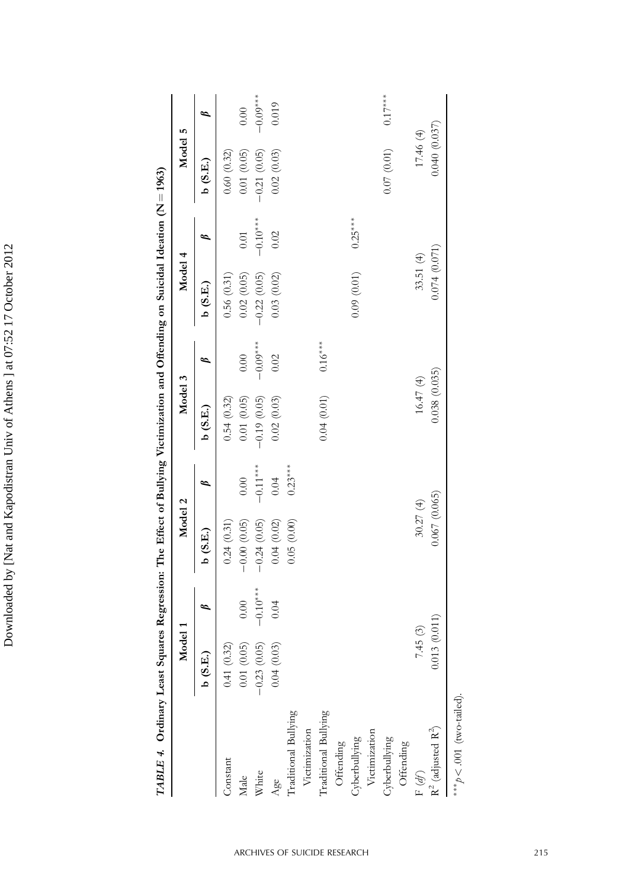| TABLE 4. Ordinary Least Squares Regression: The Effect of Bullying Victimization and Offending on Suicidal Ideation (N = 1963) |               |            |               |            |               |           |               |           |               |           |
|--------------------------------------------------------------------------------------------------------------------------------|---------------|------------|---------------|------------|---------------|-----------|---------------|-----------|---------------|-----------|
|                                                                                                                                | Model 1       |            | Model 2       |            | Model 3       |           | Model 4       |           | Model 5       |           |
|                                                                                                                                | b(S.E.)       |            | b(S.E.)       | ≈          | b(S.E.)       |           | $b($ S.E.)    |           | b(S.E.)       | ⇘         |
| Constant                                                                                                                       | 0.41(0.32)    |            | 0.24(0.31)    |            | 0.54(0.32)    |           | 0.56(0.31)    |           | 0.60(0.32)    |           |
| Male                                                                                                                           | 0.01 (0.05)   | 0.00       | $-0.00(0.05)$ | 0.00       | 0.01 (0.05)   | 0.00      | 0.02(0.05)    | 0.01      | 0.01(0.05)    | 0.00      |
| White                                                                                                                          | $-0.23(0.05)$ | $-0.10***$ | $-0.24(0.05)$ | $-0.11***$ | $-0.19(0.05)$ | $-0.09**$ | $-0.22(0.05)$ | $-0.10**$ | $-0.21(0.05)$ | $-0.09**$ |
| Age                                                                                                                            | 0.04(0.03)    | 0.04       | 0.04(0.02)    | 0.04       | 0.02(0.03)    | 0.02      | 0.03(0.02)    | 0.02      | 0.02(0.03)    | 0.019     |
| Traditional Bullying                                                                                                           |               |            | 0.05(0.00)    | $0.23***$  |               |           |               |           |               |           |
| Victimization                                                                                                                  |               |            |               |            |               |           |               |           |               |           |
| Traditional Bullying                                                                                                           |               |            |               |            | 0.04(0.01)    | $0.16***$ |               |           |               |           |
| Offending                                                                                                                      |               |            |               |            |               |           |               |           |               |           |
| Cyberbullying                                                                                                                  |               |            |               |            |               |           | 0.09(0.01)    | $0.25***$ |               |           |
| Victimization                                                                                                                  |               |            |               |            |               |           |               |           |               |           |
| Cyberbullying                                                                                                                  |               |            |               |            |               |           |               |           | 0.07(0.01)    | $0.17***$ |
| Offending                                                                                                                      |               |            |               |            |               |           |               |           |               |           |
| F(d)                                                                                                                           | 7.45 (3)      |            | 30.27(4)      |            | 16.47 $(4)$   |           | 33.51 (4)     |           | 17.46(4)      |           |
| $R^2$ (adjusted $R^2$ )                                                                                                        | 0.013(0.011)  |            | 0.067(0.065)  |            | 0.038(0.035)  |           | 0.074(0.071)  |           | 0.040(0.037)  |           |
| *** $p < .001$ (two-tailed).                                                                                                   |               |            |               |            |               |           |               |           |               |           |

TABLE 4. Ordinary Least Squares Regression: The Effect of Bullying Victimization and Offending on Suicidal Ideation (N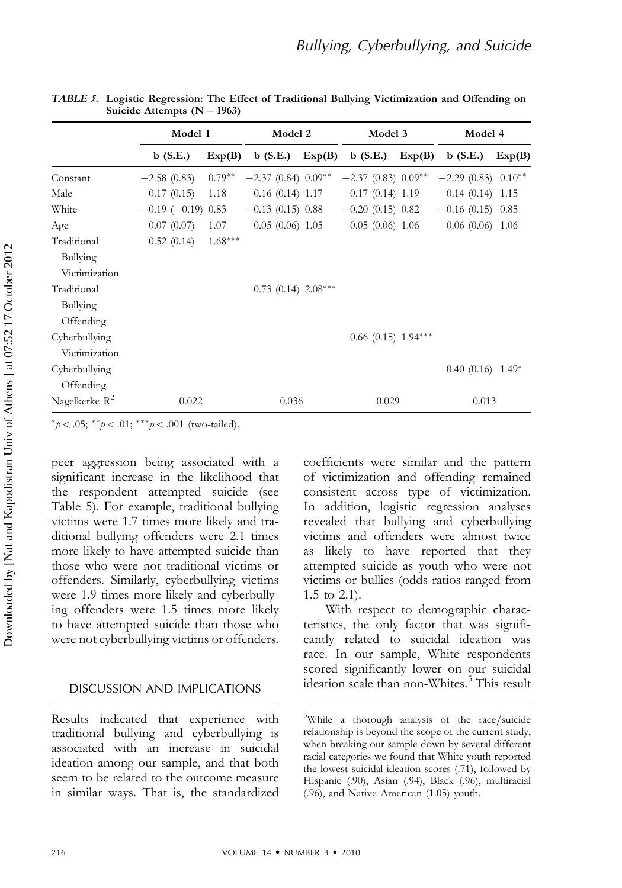|                  | Model 1        |           | Model 2                 | Model 3 |                           |        | Model 4                        |        |
|------------------|----------------|-----------|-------------------------|---------|---------------------------|--------|--------------------------------|--------|
|                  | $b$ (S.E.)     | Exp(B)    | $b$ (S.E.)              | Exp(B)  | $b$ (S.E.)                | Exp(B) | $b$ (S.E.)                     | Exp(B) |
| Constant         | $-2.58(0.83)$  | $0.79**$  | $-2.37(0.84)0.09**$     |         | $-2.37(0.83)0.09**$       |        | $-2.29(0.83)0.10**$            |        |
| Male             | 0.17(0.15)     | 1.18      | 0.16(0.14)1.17          |         | 0.17(0.14)1.19            |        | $0.14(0.14)$ 1.15              |        |
| White            | $-0.19(-0.19)$ | 0.83      | $-0.13(0.15)0.88$       |         | $-0.20(0.15)0.82$         |        | $-0.16(0.15)0.85$              |        |
| Age              | 0.07(0.07)     | 1.07      | 0.05(0.06)1.05          |         | 0.05(0.06)1.06            |        | $0.06(0.06)$ 1.06              |        |
| Traditional      | 0.52(0.14)     | $1.68***$ |                         |         |                           |        |                                |        |
| Bullying         |                |           |                         |         |                           |        |                                |        |
| Victimization    |                |           |                         |         |                           |        |                                |        |
| Traditional      |                |           | $0.73$ (0.14) $2.08***$ |         |                           |        |                                |        |
| Bullying         |                |           |                         |         |                           |        |                                |        |
| Offending        |                |           |                         |         |                           |        |                                |        |
| Cyberbullying    |                |           |                         |         | $0.66$ $(0.15)$ $1.94***$ |        |                                |        |
| Victimization    |                |           |                         |         |                           |        |                                |        |
| Cyberbullying    |                |           |                         |         |                           |        | $0.40(0.16)$ 1.49 <sup>*</sup> |        |
| Offending        |                |           |                         |         |                           |        |                                |        |
| Nagelkerke $R^2$ | 0.022          |           | 0.036                   |         | 0.029                     |        | 0.013                          |        |

TABLE 5. Logistic Regression: The Effect of Traditional Bullying Victimization and Offending on Suicide Attempts  $(N = 1963)$ 

\* $p < .05$ ; \*\* $p < .01$ ; \*\*\* $p < .001$  (two-tailed).

peer aggression being associated with a significant increase in the likelihood that the respondent attempted suicide (see Table 5). For example, traditional bullying victims were 1.7 times more likely and traditional bullying offenders were 2.1 times more likely to have attempted suicide than those who were not traditional victims or offenders. Similarly, cyberbullying victims were 1.9 times more likely and cyberbullying offenders were 1.5 times more likely to have attempted suicide than those who were not cyberbullying victims or offenders.

#### DISCUSSION AND IMPLICATIONS

Results indicated that experience with traditional bullying and cyberbullying is associated with an increase in suicidal ideation among our sample, and that both seem to be related to the outcome measure in similar ways. That is, the standardized coefficients were similar and the pattern of victimization and offending remained consistent across type of victimization. In addition, logistic regression analyses revealed that bullying and cyberbullying victims and offenders were almost twice as likely to have reported that they attempted suicide as youth who were not victims or bullies (odds ratios ranged from 1.5 to 2.1).

With respect to demographic characteristics, the only factor that was significantly related to suicidal ideation was race. In our sample, White respondents scored significantly lower on our suicidal ideation scale than non-Whites.<sup>5</sup> This result

<sup>&</sup>lt;sup>5</sup>While a thorough analysis of the race/suicide relationship is beyond the scope of the current study, when breaking our sample down by several different racial categories we found that White youth reported the lowest suicidal ideation scores (.71), followed by Hispanic (.90), Asian (.94), Black (.96), multiracial (.96), and Native American (1.05) youth.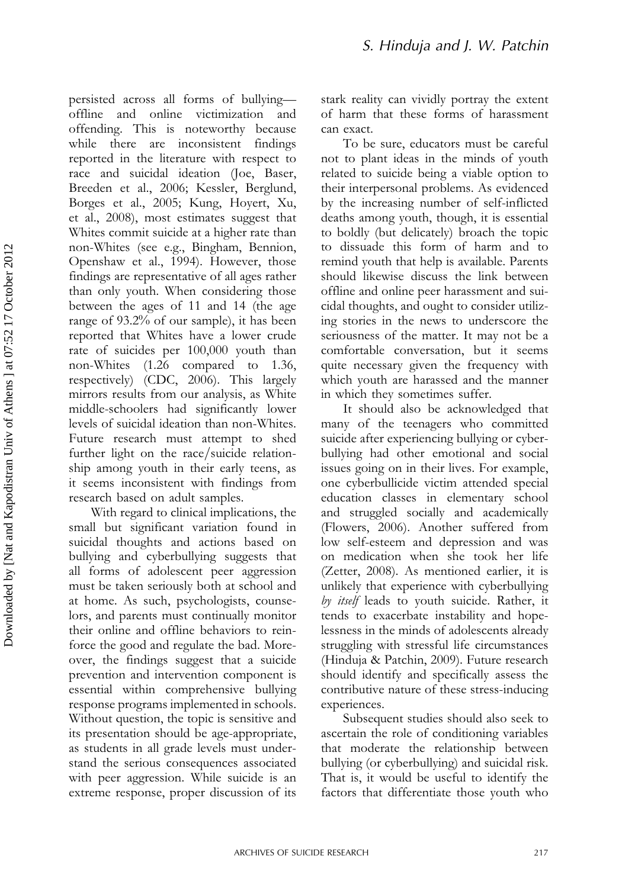persisted across all forms of bullying offline and online victimization and offending. This is noteworthy because while there are inconsistent findings reported in the literature with respect to race and suicidal ideation (Joe, Baser, Breeden et al., 2006; Kessler, Berglund, Borges et al., 2005; Kung, Hoyert, Xu, et al., 2008), most estimates suggest that Whites commit suicide at a higher rate than non-Whites (see e.g., Bingham, Bennion, Openshaw et al., 1994). However, those findings are representative of all ages rather than only youth. When considering those between the ages of 11 and 14 (the age range of 93.2% of our sample), it has been reported that Whites have a lower crude rate of suicides per 100,000 youth than non-Whites (1.26 compared to 1.36, respectively) (CDC, 2006). This largely mirrors results from our analysis, as White middle-schoolers had significantly lower levels of suicidal ideation than non-Whites. Future research must attempt to shed further light on the race/suicide relationship among youth in their early teens, as it seems inconsistent with findings from research based on adult samples.

With regard to clinical implications, the small but significant variation found in suicidal thoughts and actions based on bullying and cyberbullying suggests that all forms of adolescent peer aggression must be taken seriously both at school and at home. As such, psychologists, counselors, and parents must continually monitor their online and offline behaviors to reinforce the good and regulate the bad. Moreover, the findings suggest that a suicide prevention and intervention component is essential within comprehensive bullying response programs implemented in schools. Without question, the topic is sensitive and its presentation should be age-appropriate, as students in all grade levels must understand the serious consequences associated with peer aggression. While suicide is an extreme response, proper discussion of its stark reality can vividly portray the extent of harm that these forms of harassment can exact.

To be sure, educators must be careful not to plant ideas in the minds of youth related to suicide being a viable option to their interpersonal problems. As evidenced by the increasing number of self-inflicted deaths among youth, though, it is essential to boldly (but delicately) broach the topic to dissuade this form of harm and to remind youth that help is available. Parents should likewise discuss the link between offline and online peer harassment and suicidal thoughts, and ought to consider utilizing stories in the news to underscore the seriousness of the matter. It may not be a comfortable conversation, but it seems quite necessary given the frequency with which youth are harassed and the manner in which they sometimes suffer.

It should also be acknowledged that many of the teenagers who committed suicide after experiencing bullying or cyberbullying had other emotional and social issues going on in their lives. For example, one cyberbullicide victim attended special education classes in elementary school and struggled socially and academically (Flowers, 2006). Another suffered from low self-esteem and depression and was on medication when she took her life (Zetter, 2008). As mentioned earlier, it is unlikely that experience with cyberbullying by itself leads to youth suicide. Rather, it tends to exacerbate instability and hopelessness in the minds of adolescents already struggling with stressful life circumstances (Hinduja & Patchin, 2009). Future research should identify and specifically assess the contributive nature of these stress-inducing experiences.

Subsequent studies should also seek to ascertain the role of conditioning variables that moderate the relationship between bullying (or cyberbullying) and suicidal risk. That is, it would be useful to identify the factors that differentiate those youth who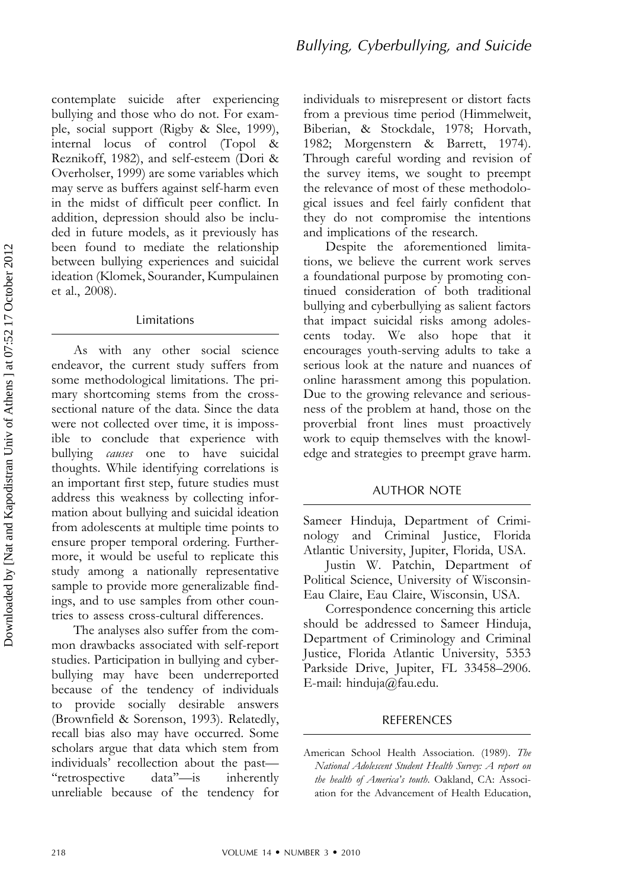contemplate suicide after experiencing bullying and those who do not. For example, social support (Rigby & Slee, 1999), internal locus of control (Topol & Reznikoff, 1982), and self-esteem (Dori & Overholser, 1999) are some variables which may serve as buffers against self-harm even in the midst of difficult peer conflict. In addition, depression should also be included in future models, as it previously has been found to mediate the relationship between bullying experiences and suicidal ideation (Klomek, Sourander, Kumpulainen et al., 2008).

#### Limitations

As with any other social science endeavor, the current study suffers from some methodological limitations. The primary shortcoming stems from the crosssectional nature of the data. Since the data were not collected over time, it is impossible to conclude that experience with bullying *causes* one to have suicidal thoughts. While identifying correlations is an important first step, future studies must address this weakness by collecting information about bullying and suicidal ideation from adolescents at multiple time points to ensure proper temporal ordering. Furthermore, it would be useful to replicate this study among a nationally representative sample to provide more generalizable findings, and to use samples from other countries to assess cross-cultural differences.

The analyses also suffer from the common drawbacks associated with self-report studies. Participation in bullying and cyberbullying may have been underreported because of the tendency of individuals to provide socially desirable answers (Brownfield & Sorenson, 1993). Relatedly, recall bias also may have occurred. Some scholars argue that data which stem from individuals' recollection about the past— "retrospective data"—is inherently unreliable because of the tendency for individuals to misrepresent or distort facts from a previous time period (Himmelweit, Biberian, & Stockdale, 1978; Horvath, 1982; Morgenstern & Barrett, 1974). Through careful wording and revision of the survey items, we sought to preempt the relevance of most of these methodological issues and feel fairly confident that they do not compromise the intentions and implications of the research.

Despite the aforementioned limitations, we believe the current work serves a foundational purpose by promoting continued consideration of both traditional bullying and cyberbullying as salient factors that impact suicidal risks among adolescents today. We also hope that it encourages youth-serving adults to take a serious look at the nature and nuances of online harassment among this population. Due to the growing relevance and seriousness of the problem at hand, those on the proverbial front lines must proactively work to equip themselves with the knowledge and strategies to preempt grave harm.

#### AUTHOR NOTE

Sameer Hinduja, Department of Criminology and Criminal Justice, Florida Atlantic University, Jupiter, Florida, USA.

Justin W. Patchin, Department of Political Science, University of Wisconsin-Eau Claire, Eau Claire, Wisconsin, USA.

Correspondence concerning this article should be addressed to Sameer Hinduja, Department of Criminology and Criminal Justice, Florida Atlantic University, 5353 Parkside Drive, Jupiter, FL 33458–2906. E-mail: hinduja@fau.edu.

#### REFERENCES

American School Health Association. (1989). The National Adolescent Student Health Survey: A report on the health of America's touth. Oakland, CA: Association for the Advancement of Health Education,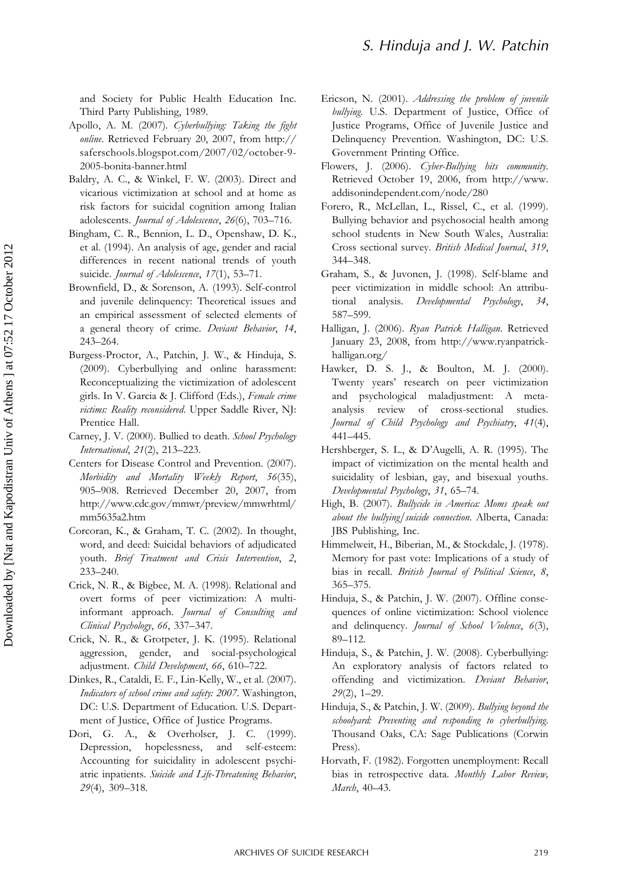and Society for Public Health Education Inc. Third Party Publishing, 1989.

- Apollo, A. M. (2007). Cyberbullying: Taking the fight online. Retrieved February 20, 2007, from http:// saferschools.blogspot.com/2007/02/october-9- 2005-bonita-banner.html
- Baldry, A. C., & Winkel, F. W. (2003). Direct and vicarious victimization at school and at home as risk factors for suicidal cognition among Italian adolescents. Journal of Adolescence, 26(6), 703–716.
- Bingham, C. R., Bennion, L. D., Openshaw, D. K., et al. (1994). An analysis of age, gender and racial differences in recent national trends of youth suicide. Journal of Adolescence, 17(1), 53-71.
- Brownfield, D., & Sorenson, A. (1993). Self-control and juvenile delinquency: Theoretical issues and an empirical assessment of selected elements of a general theory of crime. Deviant Behavior, 14, 243–264.
- Burgess-Proctor, A., Patchin, J. W., & Hinduja, S. (2009). Cyberbullying and online harassment: Reconceptualizing the victimization of adolescent girls. In V. Garcia & J. Clifford (Eds.), Female crime victims: Reality reconsidered. Upper Saddle River, NJ: Prentice Hall.
- Carney, J. V. (2000). Bullied to death. School Psychology International, 21(2), 213–223.
- Centers for Disease Control and Prevention. (2007). Morbidity and Mortality Weekly Report, 56(35), 905–908. Retrieved December 20, 2007, from http://www.cdc.gov/mmwr/preview/mmwrhtml/ mm5635a2.htm
- Corcoran, K., & Graham, T. C. (2002). In thought, word, and deed: Suicidal behaviors of adjudicated youth. Brief Treatment and Crisis Intervention, 2, 233–240.
- Crick, N. R., & Bigbee, M. A. (1998). Relational and overt forms of peer victimization: A multiinformant approach. Journal of Consulting and Clinical Psychology, 66, 337–347.
- Crick, N. R., & Grotpeter, J. K. (1995). Relational aggression, gender, and social-psychological adjustment. Child Development, 66, 610–722.
- Dinkes, R., Cataldi, E. F., Lin-Kelly, W., et al. (2007). Indicators of school crime and safety: 2007. Washington, DC: U.S. Department of Education. U.S. Department of Justice, Office of Justice Programs.
- Dori, G. A., & Overholser, J. C. (1999). Depression, hopelessness, and self-esteem: Accounting for suicidality in adolescent psychiatric inpatients. Suicide and Life-Threatening Behavior, 29(4), 309–318.
- Ericson, N. (2001). Addressing the problem of juvenile bullying. U.S. Department of Justice, Office of Justice Programs, Office of Juvenile Justice and Delinquency Prevention. Washington, DC: U.S. Government Printing Office.
- Flowers, J. (2006). Cyber-Bullying hits community. Retrieved October 19, 2006, from http://www. addisonindependent.com/node/280
- Forero, R., McLellan, L., Rissel, C., et al. (1999). Bullying behavior and psychosocial health among school students in New South Wales, Australia: Cross sectional survey. British Medical Journal, 319, 344–348.
- Graham, S., & Juvonen, J. (1998). Self-blame and peer victimization in middle school: An attributional analysis. Developmental Psychology, 34, 587–599.
- Halligan, J. (2006). Ryan Patrick Halligan. Retrieved January 23, 2008, from http://www.ryanpatrickhalligan.org/
- Hawker, D. S. J., & Boulton, M. J. (2000). Twenty years' research on peer victimization and psychological maladjustment: A metaanalysis review of cross-sectional studies. Journal of Child Psychology and Psychiatry, 41(4), 441–445.
- Hershberger, S. L., & D'Augelli, A. R. (1995). The impact of victimization on the mental health and suicidality of lesbian, gay, and bisexual youths. Developmental Psychology, 31, 65–74.
- High, B. (2007). Bullycide in America: Moms speak out about the bullying/suicide connection. Alberta, Canada: JBS Publishing, Inc.
- Himmelweit, H., Biberian, M., & Stockdale, J. (1978). Memory for past vote: Implications of a study of bias in recall. British Journal of Political Science, 8. 365–375.
- Hinduja, S., & Patchin, J. W. (2007). Offline consequences of online victimization: School violence and delinquency. Journal of School Violence, 6(3), 89–112.
- Hinduja, S., & Patchin, J. W. (2008). Cyberbullying: An exploratory analysis of factors related to offending and victimization. Deviant Behavior, 29(2), 1–29.
- Hinduja, S., & Patchin, J. W. (2009). Bullying beyond the schoolyard: Preventing and responding to cyberbullying. Thousand Oaks, CA: Sage Publications (Corwin Press).
- Horvath, F. (1982). Forgotten unemployment: Recall bias in retrospective data. Monthly Labor Review, March, 40–43.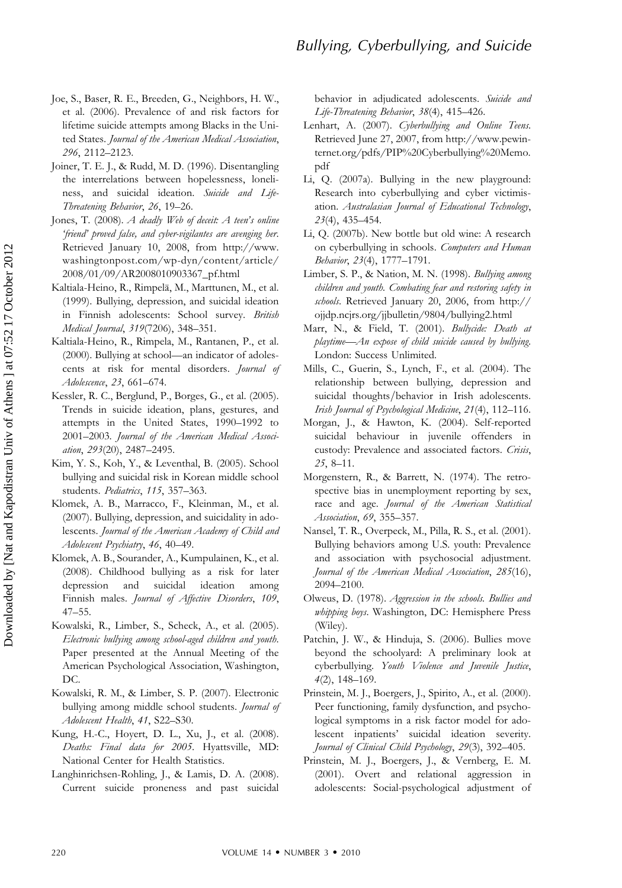- Joe, S., Baser, R. E., Breeden, G., Neighbors, H. W., et al. (2006). Prevalence of and risk factors for lifetime suicide attempts among Blacks in the United States. Journal of the American Medical Association, 296, 2112–2123.
- Joiner, T. E. J., & Rudd, M. D. (1996). Disentangling the interrelations between hopelessness, loneliness, and suicidal ideation. Suicide and Life-Threatening Behavior, 26, 19–26.
- Jones, T. (2008). A deadly Web of deceit: A teen's online 'friend' proved false, and cyber-vigilantes are avenging her. Retrieved January 10, 2008, from http://www. washingtonpost.com/wp-dyn/content/article/ 2008/01/09/AR2008010903367\_pf.html
- Kaltiala-Heino, R., Rimpelä, M., Marttunen, M., et al. (1999). Bullying, depression, and suicidal ideation in Finnish adolescents: School survey. British Medical Journal, 319(7206), 348–351.
- Kaltiala-Heino, R., Rimpela, M., Rantanen, P., et al. (2000). Bullying at school—an indicator of adolescents at risk for mental disorders. Journal of Adolescence, 23, 661–674.
- Kessler, R. C., Berglund, P., Borges, G., et al. (2005). Trends in suicide ideation, plans, gestures, and attempts in the United States, 1990–1992 to 2001–2003. Journal of the American Medical Association, 293(20), 2487–2495.
- Kim, Y. S., Koh, Y., & Leventhal, B. (2005). School bullying and suicidal risk in Korean middle school students. Pediatrics, 115, 357–363.
- Klomek, A. B., Marracco, F., Kleinman, M., et al. (2007). Bullying, depression, and suicidality in adolescents. Journal of the American Academy of Child and Adolescent Psychiatry, 46, 40–49.
- Klomek, A. B., Sourander, A., Kumpulainen, K., et al. (2008). Childhood bullying as a risk for later depression and suicidal ideation among Finnish males. Journal of Affective Disorders, 109, 47–55.
- Kowalski, R., Limber, S., Scheck, A., et al. (2005). Electronic bullying among school-aged children and youth. Paper presented at the Annual Meeting of the American Psychological Association, Washington, DC.
- Kowalski, R. M., & Limber, S. P. (2007). Electronic bullying among middle school students. Journal of Adolescent Health, 41, S22-S30.
- Kung, H.-C., Hoyert, D. L., Xu, J., et al. (2008). Deaths: Final data for 2005. Hyattsville, MD: National Center for Health Statistics.
- Langhinrichsen-Rohling, J., & Lamis, D. A. (2008). Current suicide proneness and past suicidal

behavior in adjudicated adolescents. Suicide and Life-Threatening Behavior, 38(4), 415–426.

- Lenhart, A. (2007). Cyberbullying and Online Teens. Retrieved June 27, 2007, from http://www.pewinternet.org/pdfs/PIP%20Cyberbullying%20Memo. pdf
- Li, Q. (2007a). Bullying in the new playground: Research into cyberbullying and cyber victimisation. Australasian Journal of Educational Technology, 23(4), 435–454.
- Li, Q. (2007b). New bottle but old wine: A research on cyberbullying in schools. Computers and Human Behavior, 23(4), 1777–1791.
- Limber, S. P., & Nation, M. N. (1998). Bullying among children and youth. Combating fear and restoring safety in schools. Retrieved January 20, 2006, from http:// ojjdp.ncjrs.org/jjbulletin/9804/bullying2.html
- Marr, N., & Field, T. (2001). Bullycide: Death at playtime—An expose of child suicide caused by bullying. London: Success Unlimited.
- Mills, C., Guerin, S., Lynch, F., et al. (2004). The relationship between bullying, depression and suicidal thoughts/behavior in Irish adolescents. Irish Journal of Psychological Medicine, 21(4), 112–116.
- Morgan, J., & Hawton, K. (2004). Self-reported suicidal behaviour in juvenile offenders in custody: Prevalence and associated factors. Crisis, 25, 8–11.
- Morgenstern, R., & Barrett, N. (1974). The retrospective bias in unemployment reporting by sex, race and age. Journal of the American Statistical Association, 69, 355–357.
- Nansel, T. R., Overpeck, M., Pilla, R. S., et al. (2001). Bullying behaviors among U.S. youth: Prevalence and association with psychosocial adjustment. Journal of the American Medical Association, 285(16), 2094–2100.
- Olweus, D. (1978). Aggression in the schools. Bullies and whipping boys. Washington, DC: Hemisphere Press (Wiley).
- Patchin, J. W., & Hinduja, S. (2006). Bullies move beyond the schoolyard: A preliminary look at cyberbullying. Youth Violence and Juvenile Justice, 4(2), 148–169.
- Prinstein, M. J., Boergers, J., Spirito, A., et al. (2000). Peer functioning, family dysfunction, and psychological symptoms in a risk factor model for adolescent inpatients' suicidal ideation severity. Journal of Clinical Child Psychology, 29(3), 392–405.
- Prinstein, M. J., Boergers, J., & Vernberg, E. M. (2001). Overt and relational aggression adolescents: Social-psychological adjustment of